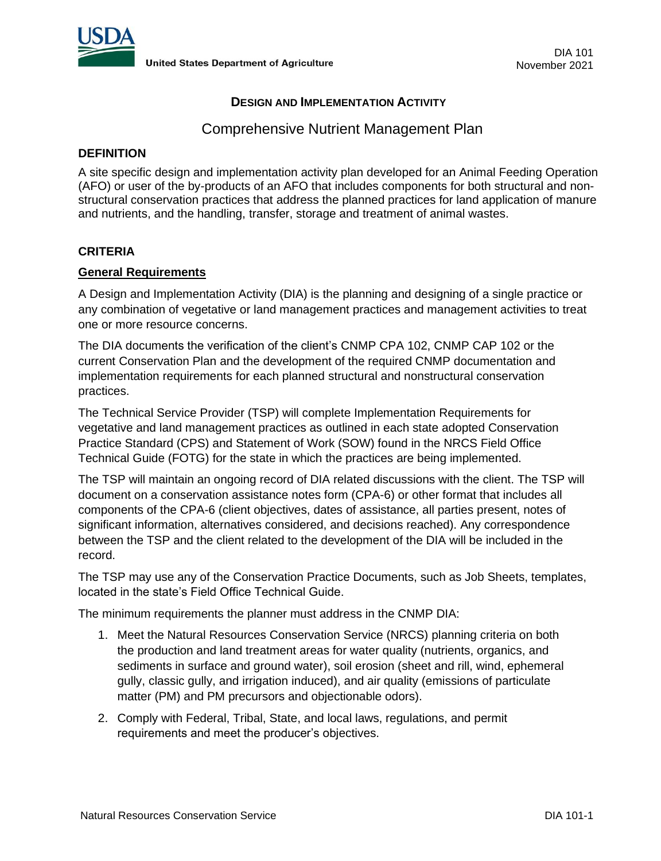

# **DESIGN AND IMPLEMENTATION ACTIVITY**

# Comprehensive Nutrient Management Plan

#### **DEFINITION**

A site specific design and implementation activity plan developed for an Animal Feeding Operation (AFO) or user of the by-products of an AFO that includes components for both structural and nonstructural conservation practices that address the planned practices for land application of manure and nutrients, and the handling, transfer, storage and treatment of animal wastes.

#### **CRITERIA**

### **General Requirements**

A Design and Implementation Activity (DIA) is the planning and designing of a single practice or any combination of vegetative or land management practices and management activities to treat one or more resource concerns.

The DIA documents the verification of the client's CNMP CPA 102, CNMP CAP 102 or the current Conservation Plan and the development of the required CNMP documentation and implementation requirements for each planned structural and nonstructural conservation practices.

The Technical Service Provider (TSP) will complete Implementation Requirements for vegetative and land management practices as outlined in each state adopted Conservation Practice Standard (CPS) and Statement of Work (SOW) found in the NRCS Field Office Technical Guide (FOTG) for the state in which the practices are being implemented.

The TSP will maintain an ongoing record of DIA related discussions with the client. The TSP will document on a conservation assistance notes form (CPA-6) or other format that includes all components of the CPA-6 (client objectives, dates of assistance, all parties present, notes of significant information, alternatives considered, and decisions reached). Any correspondence between the TSP and the client related to the development of the DIA will be included in the record.

The TSP may use any of the Conservation Practice Documents, such as Job Sheets, templates, located in the state's Field Office Technical Guide.

The minimum requirements the planner must address in the CNMP DIA:

- 1. Meet the Natural Resources Conservation Service (NRCS) planning criteria on both the production and land treatment areas for water quality (nutrients, organics, and sediments in surface and ground water), soil erosion (sheet and rill, wind, ephemeral gully, classic gully, and irrigation induced), and air quality (emissions of particulate matter (PM) and PM precursors and objectionable odors).
- 2. Comply with Federal, Tribal, State, and local laws, regulations, and permit requirements and meet the producer's objectives.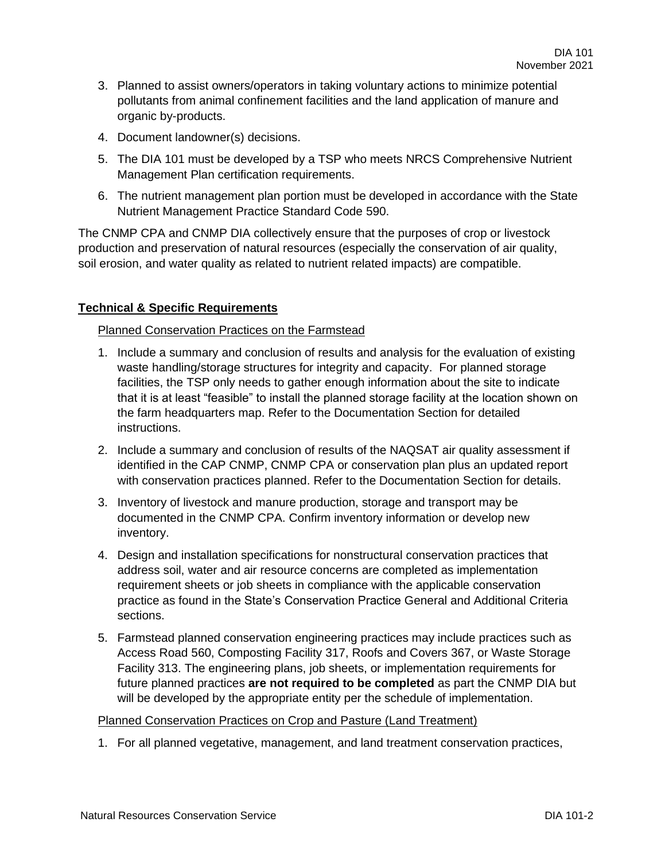- 3. Planned to assist owners/operators in taking voluntary actions to minimize potential pollutants from animal confinement facilities and the land application of manure and organic by-products.
- 4. Document landowner(s) decisions.
- 5. The DIA 101 must be developed by a TSP who meets NRCS Comprehensive Nutrient Management Plan certification requirements.
- 6. The nutrient management plan portion must be developed in accordance with the State Nutrient Management Practice Standard Code 590.

The CNMP CPA and CNMP DIA collectively ensure that the purposes of crop or livestock production and preservation of natural resources (especially the conservation of air quality, soil erosion, and water quality as related to nutrient related impacts) are compatible.

# **Technical & Specific Requirements**

### Planned Conservation Practices on the Farmstead

- 1. Include a summary and conclusion of results and analysis for the evaluation of existing waste handling/storage structures for integrity and capacity. For planned storage facilities, the TSP only needs to gather enough information about the site to indicate that it is at least "feasible" to install the planned storage facility at the location shown on the farm headquarters map. Refer to the Documentation Section for detailed instructions.
- 2. Include a summary and conclusion of results of the NAQSAT air quality assessment if identified in the CAP CNMP, CNMP CPA or conservation plan plus an updated report with conservation practices planned. Refer to the Documentation Section for details.
- 3. Inventory of livestock and manure production, storage and transport may be documented in the CNMP CPA. Confirm inventory information or develop new inventory.
- 4. Design and installation specifications for nonstructural conservation practices that address soil, water and air resource concerns are completed as implementation requirement sheets or job sheets in compliance with the applicable conservation practice as found in the State's Conservation Practice General and Additional Criteria sections.
- 5. Farmstead planned conservation engineering practices may include practices such as Access Road 560, Composting Facility 317, Roofs and Covers 367, or Waste Storage Facility 313. The engineering plans, job sheets, or implementation requirements for future planned practices **are not required to be completed** as part the CNMP DIA but will be developed by the appropriate entity per the schedule of implementation.

#### Planned Conservation Practices on Crop and Pasture (Land Treatment)

1. For all planned vegetative, management, and land treatment conservation practices,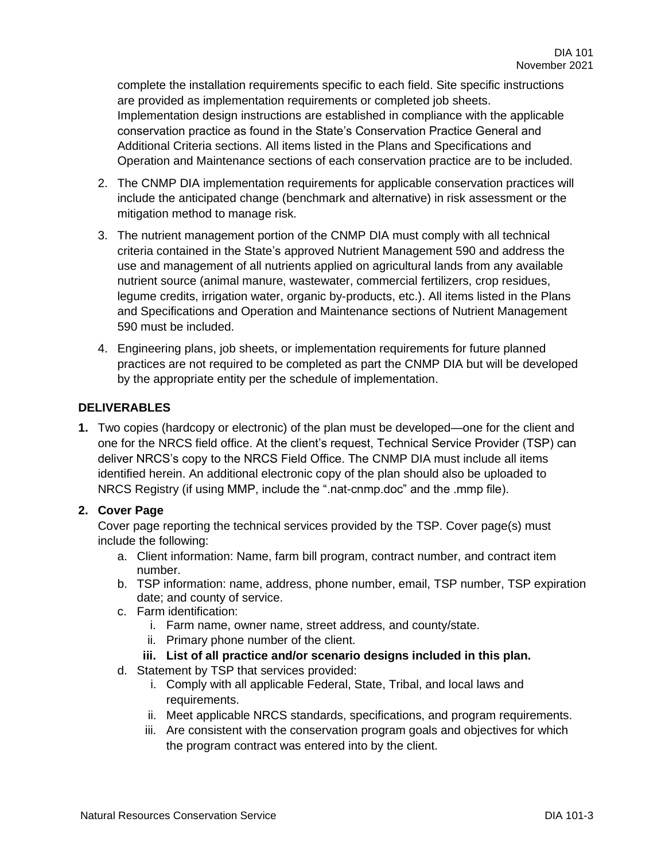complete the installation requirements specific to each field. Site specific instructions are provided as implementation requirements or completed job sheets. Implementation design instructions are established in compliance with the applicable conservation practice as found in the State's Conservation Practice General and Additional Criteria sections. All items listed in the Plans and Specifications and Operation and Maintenance sections of each conservation practice are to be included.

- 2. The CNMP DIA implementation requirements for applicable conservation practices will include the anticipated change (benchmark and alternative) in risk assessment or the mitigation method to manage risk.
- 3. The nutrient management portion of the CNMP DIA must comply with all technical criteria contained in the State's approved Nutrient Management 590 and address the use and management of all nutrients applied on agricultural lands from any available nutrient source (animal manure, wastewater, commercial fertilizers, crop residues, legume credits, irrigation water, organic by-products, etc.). All items listed in the Plans and Specifications and Operation and Maintenance sections of Nutrient Management 590 must be included.
- 4. Engineering plans, job sheets, or implementation requirements for future planned practices are not required to be completed as part the CNMP DIA but will be developed by the appropriate entity per the schedule of implementation.

# **DELIVERABLES**

**1.** Two copies (hardcopy or electronic) of the plan must be developed—one for the client and one for the NRCS field office. At the client's request, Technical Service Provider (TSP) can deliver NRCS's copy to the NRCS Field Office. The CNMP DIA must include all items identified herein. An additional electronic copy of the plan should also be uploaded to NRCS Registry (if using MMP, include the ".nat-cnmp.doc" and the .mmp file).

# **2. Cover Page**

Cover page reporting the technical services provided by the TSP. Cover page(s) must include the following:

- a. Client information: Name, farm bill program, contract number, and contract item number.
- b. TSP information: name, address, phone number, email, TSP number, TSP expiration date; and county of service.
- c. Farm identification:
	- i. Farm name, owner name, street address, and county/state.
	- ii. Primary phone number of the client.
	- **iii. List of all practice and/or scenario designs included in this plan.**
- d. Statement by TSP that services provided:
	- i. Comply with all applicable Federal, State, Tribal, and local laws and requirements.
	- ii. Meet applicable NRCS standards, specifications, and program requirements.
	- iii. Are consistent with the conservation program goals and objectives for which the program contract was entered into by the client.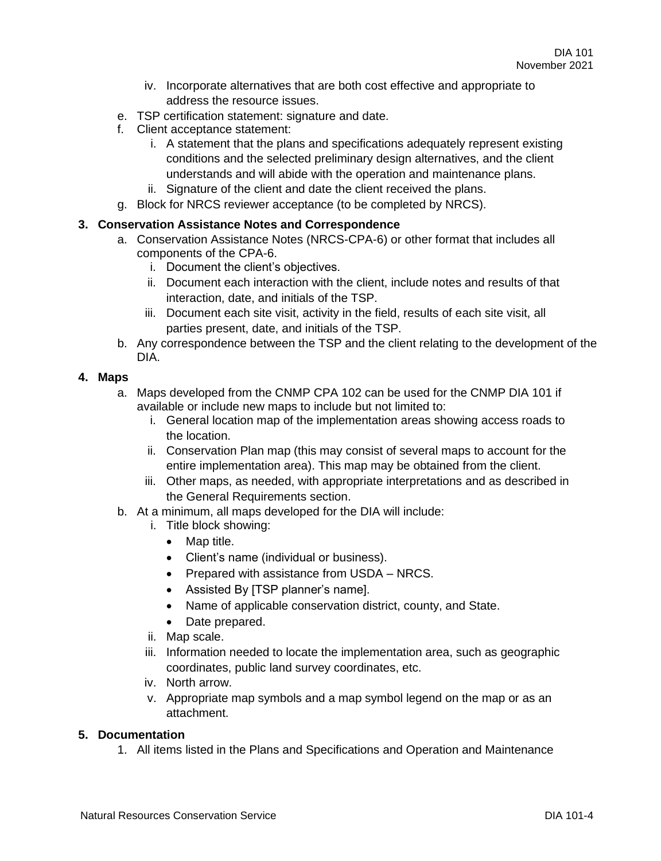- iv. Incorporate alternatives that are both cost effective and appropriate to address the resource issues.
- e. TSP certification statement: signature and date.
- f. Client acceptance statement:
	- i. A statement that the plans and specifications adequately represent existing conditions and the selected preliminary design alternatives, and the client understands and will abide with the operation and maintenance plans.
	- ii. Signature of the client and date the client received the plans.
- g. Block for NRCS reviewer acceptance (to be completed by NRCS).

### **3. Conservation Assistance Notes and Correspondence**

- a. Conservation Assistance Notes (NRCS-CPA-6) or other format that includes all components of the CPA-6.
	- i. Document the client's objectives.
	- ii. Document each interaction with the client, include notes and results of that interaction, date, and initials of the TSP.
	- iii. Document each site visit, activity in the field, results of each site visit, all parties present, date, and initials of the TSP.
- b. Any correspondence between the TSP and the client relating to the development of the DIA.

# **4. Maps**

- a. Maps developed from the CNMP CPA 102 can be used for the CNMP DIA 101 if available or include new maps to include but not limited to:
	- i. General location map of the implementation areas showing access roads to the location.
	- ii. Conservation Plan map (this may consist of several maps to account for the entire implementation area). This map may be obtained from the client.
	- iii. Other maps, as needed, with appropriate interpretations and as described in the General Requirements section.
- b. At a minimum, all maps developed for the DIA will include:
	- i. Title block showing:
		- Map title.
		- Client's name (individual or business).
		- Prepared with assistance from USDA NRCS.
		- Assisted By [TSP planner's name].
		- Name of applicable conservation district, county, and State.
		- Date prepared.
	- ii. Map scale.
	- iii. Information needed to locate the implementation area, such as geographic coordinates, public land survey coordinates, etc.
	- iv. North arrow.
	- v. Appropriate map symbols and a map symbol legend on the map or as an attachment.

# **5. Documentation**

1. All items listed in the Plans and Specifications and Operation and Maintenance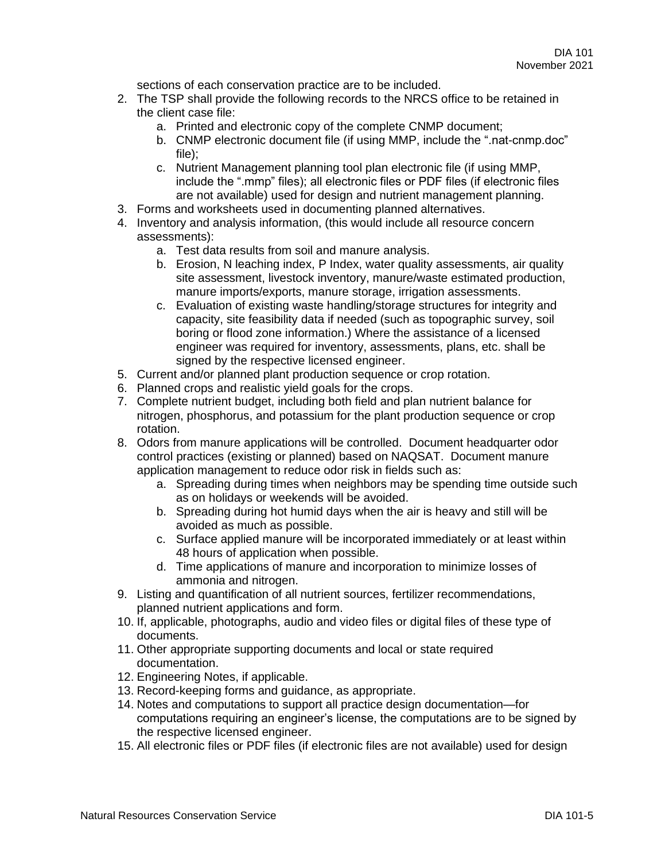sections of each conservation practice are to be included.

- 2. The TSP shall provide the following records to the NRCS office to be retained in the client case file:
	- a. Printed and electronic copy of the complete CNMP document;
	- b. CNMP electronic document file (if using MMP, include the ".nat-cnmp.doc" file);
	- c. Nutrient Management planning tool plan electronic file (if using MMP, include the ".mmp" files); all electronic files or PDF files (if electronic files are not available) used for design and nutrient management planning.
- 3. Forms and worksheets used in documenting planned alternatives.
- 4. Inventory and analysis information, (this would include all resource concern assessments):
	- a. Test data results from soil and manure analysis.
	- b. Erosion, N leaching index, P Index, water quality assessments, air quality site assessment, livestock inventory, manure/waste estimated production, manure imports/exports, manure storage, irrigation assessments.
	- c. Evaluation of existing waste handling/storage structures for integrity and capacity, site feasibility data if needed (such as topographic survey, soil boring or flood zone information.) Where the assistance of a licensed engineer was required for inventory, assessments, plans, etc. shall be signed by the respective licensed engineer.
- 5. Current and/or planned plant production sequence or crop rotation.
- 6. Planned crops and realistic yield goals for the crops.
- 7. Complete nutrient budget, including both field and plan nutrient balance for nitrogen, phosphorus, and potassium for the plant production sequence or crop rotation.
- 8. Odors from manure applications will be controlled. Document headquarter odor control practices (existing or planned) based on NAQSAT. Document manure application management to reduce odor risk in fields such as:
	- a. Spreading during times when neighbors may be spending time outside such as on holidays or weekends will be avoided.
	- b. Spreading during hot humid days when the air is heavy and still will be avoided as much as possible.
	- c. Surface applied manure will be incorporated immediately or at least within 48 hours of application when possible.
	- d. Time applications of manure and incorporation to minimize losses of ammonia and nitrogen.
- 9. Listing and quantification of all nutrient sources, fertilizer recommendations, planned nutrient applications and form.
- 10. If, applicable, photographs, audio and video files or digital files of these type of documents.
- 11. Other appropriate supporting documents and local or state required documentation.
- 12. Engineering Notes, if applicable.
- 13. Record-keeping forms and guidance, as appropriate.
- 14. Notes and computations to support all practice design documentation—for computations requiring an engineer's license, the computations are to be signed by the respective licensed engineer.
- 15. All electronic files or PDF files (if electronic files are not available) used for design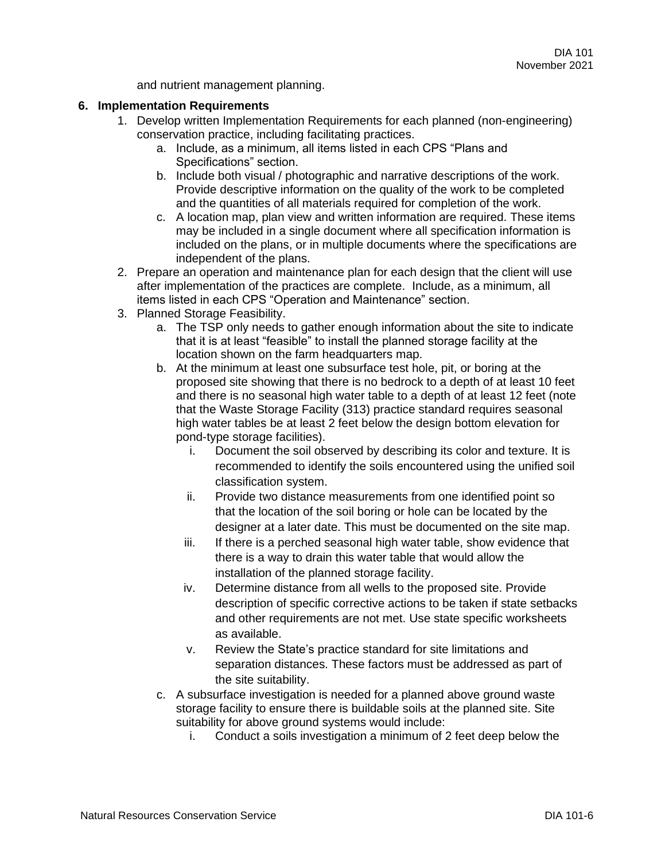and nutrient management planning.

### **6. Implementation Requirements**

- 1. Develop written Implementation Requirements for each planned (non-engineering) conservation practice, including facilitating practices.
	- a. Include, as a minimum, all items listed in each CPS "Plans and Specifications" section.
	- b. Include both visual / photographic and narrative descriptions of the work. Provide descriptive information on the quality of the work to be completed and the quantities of all materials required for completion of the work.
	- c. A location map, plan view and written information are required. These items may be included in a single document where all specification information is included on the plans, or in multiple documents where the specifications are independent of the plans.
- 2. Prepare an operation and maintenance plan for each design that the client will use after implementation of the practices are complete. Include, as a minimum, all items listed in each CPS "Operation and Maintenance" section.
- 3. Planned Storage Feasibility.
	- a. The TSP only needs to gather enough information about the site to indicate that it is at least "feasible" to install the planned storage facility at the location shown on the farm headquarters map.
	- b. At the minimum at least one subsurface test hole, pit, or boring at the proposed site showing that there is no bedrock to a depth of at least 10 feet and there is no seasonal high water table to a depth of at least 12 feet (note that the Waste Storage Facility (313) practice standard requires seasonal high water tables be at least 2 feet below the design bottom elevation for pond-type storage facilities).
		- i. Document the soil observed by describing its color and texture. It is recommended to identify the soils encountered using the unified soil classification system.
		- ii. Provide two distance measurements from one identified point so that the location of the soil boring or hole can be located by the designer at a later date. This must be documented on the site map.
		- iii. If there is a perched seasonal high water table, show evidence that there is a way to drain this water table that would allow the installation of the planned storage facility.
		- iv. Determine distance from all wells to the proposed site. Provide description of specific corrective actions to be taken if state setbacks and other requirements are not met. Use state specific worksheets as available.
		- v. Review the State's practice standard for site limitations and separation distances. These factors must be addressed as part of the site suitability.
	- c. A subsurface investigation is needed for a planned above ground waste storage facility to ensure there is buildable soils at the planned site. Site suitability for above ground systems would include:
		- i. Conduct a soils investigation a minimum of 2 feet deep below the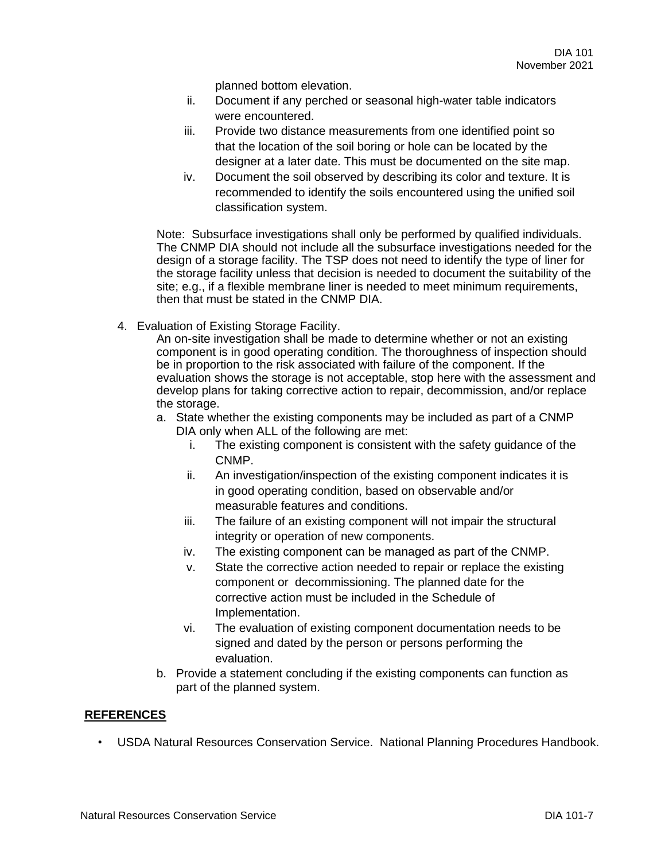planned bottom elevation.

- ii. Document if any perched or seasonal high-water table indicators were encountered.
- iii. Provide two distance measurements from one identified point so that the location of the soil boring or hole can be located by the designer at a later date. This must be documented on the site map.
- iv. Document the soil observed by describing its color and texture. It is recommended to identify the soils encountered using the unified soil classification system.

Note: Subsurface investigations shall only be performed by qualified individuals. The CNMP DIA should not include all the subsurface investigations needed for the design of a storage facility. The TSP does not need to identify the type of liner for the storage facility unless that decision is needed to document the suitability of the site; e.g., if a flexible membrane liner is needed to meet minimum requirements, then that must be stated in the CNMP DIA.

4. Evaluation of Existing Storage Facility.

An on-site investigation shall be made to determine whether or not an existing component is in good operating condition. The thoroughness of inspection should be in proportion to the risk associated with failure of the component. If the evaluation shows the storage is not acceptable, stop here with the assessment and develop plans for taking corrective action to repair, decommission, and/or replace the storage.

- a. State whether the existing components may be included as part of a CNMP DIA only when ALL of the following are met:
	- i. The existing component is consistent with the safety guidance of the CNMP.
	- ii. An investigation/inspection of the existing component indicates it is in good operating condition, based on observable and/or measurable features and conditions.
	- iii. The failure of an existing component will not impair the structural integrity or operation of new components.
	- iv. The existing component can be managed as part of the CNMP.
	- v. State the corrective action needed to repair or replace the existing component or decommissioning. The planned date for the corrective action must be included in the Schedule of Implementation.
	- vi. The evaluation of existing component documentation needs to be signed and dated by the person or persons performing the evaluation.
- b. Provide a statement concluding if the existing components can function as part of the planned system.

#### **REFERENCES**

• USDA Natural Resources Conservation Service. National Planning Procedures Handbook.